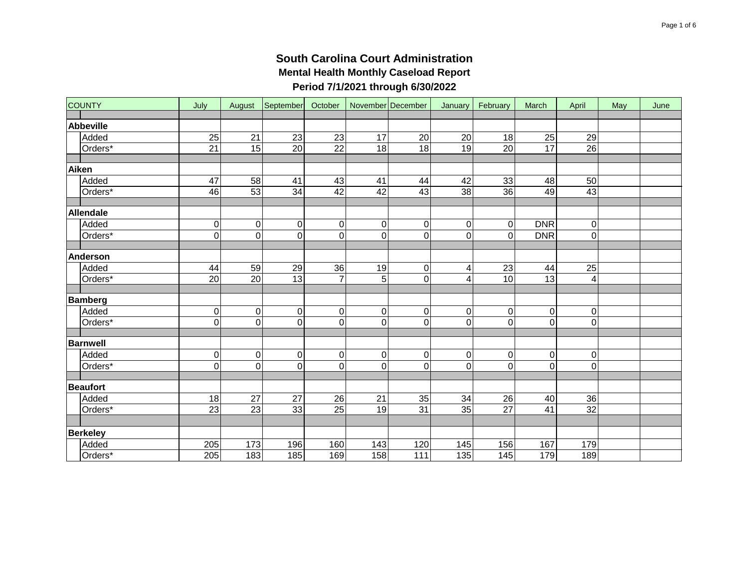| <b>COUNTY</b>    | July            |                 | August September October |                 |                 | November December   January   February |                 |                 | March           | April           | May | June |
|------------------|-----------------|-----------------|--------------------------|-----------------|-----------------|----------------------------------------|-----------------|-----------------|-----------------|-----------------|-----|------|
|                  |                 |                 |                          |                 |                 |                                        |                 |                 |                 |                 |     |      |
| <b>Abbeville</b> |                 |                 |                          |                 |                 |                                        |                 |                 |                 |                 |     |      |
| Added            | 25              | $\overline{21}$ | 23                       | 23              | $\overline{17}$ | 20                                     | $\overline{20}$ | 18              | 25              | $\overline{29}$ |     |      |
| Orders*          | $\overline{21}$ | 15              | $\overline{20}$          | $\overline{22}$ | 18              | 18                                     | 19              | $\overline{20}$ | 17              | $\overline{26}$ |     |      |
|                  |                 |                 |                          |                 |                 |                                        |                 |                 |                 |                 |     |      |
| Aiken            |                 |                 |                          |                 |                 |                                        |                 |                 |                 |                 |     |      |
| Added            | 47              | 58              | 41                       | 43              | 41              | 44                                     | 42              | 33              | 48              | 50              |     |      |
| Orders*          | 46              | 53              | $\overline{34}$          | 42              | 42              | 43                                     | 38              | $\overline{36}$ | 49              | 43              |     |      |
|                  |                 |                 |                          |                 |                 |                                        |                 |                 |                 |                 |     |      |
| Allendale        |                 |                 |                          |                 |                 |                                        |                 |                 |                 |                 |     |      |
| Added            | $\pmb{0}$       | 0               | $\pmb{0}$                | $\pmb{0}$       | $\mathbf 0$     | 0                                      | 0               | 0               | <b>DNR</b>      | 0               |     |      |
| Orders*          | 0               | $\overline{0}$  | $\overline{0}$           | $\overline{0}$  | $\mathbf 0$     | $\mathbf 0$                            | 0               | 0               | <b>DNR</b>      | $\pmb{0}$       |     |      |
|                  |                 |                 |                          |                 |                 |                                        |                 |                 |                 |                 |     |      |
| Anderson         |                 |                 |                          |                 |                 |                                        |                 |                 |                 |                 |     |      |
| Added            | 44              | 59              | 29                       | $\overline{36}$ | 19              | $\mathbf 0$                            | 4               | $\overline{23}$ | 44              | $\overline{25}$ |     |      |
| Orders*          | 20              | 20              | 13                       | $\overline{7}$  | 5               | $\mathsf{O}\xspace$                    | 4               | 10              | 13              | 4               |     |      |
|                  |                 |                 |                          |                 |                 |                                        |                 |                 |                 |                 |     |      |
| <b>Bamberg</b>   |                 |                 |                          |                 |                 |                                        |                 |                 |                 |                 |     |      |
| Added            | $\pmb{0}$       | 0               | $\pmb{0}$                | 0               | $\overline{0}$  | $\mathbf 0$                            | 0               | 0               | $\overline{0}$  | $\pmb{0}$       |     |      |
| Orders*          | 0               | $\mathsf 0$     | $\mathbf 0$              | $\mathbf 0$     | $\pmb{0}$       | $\mathbf 0$                            | 0               | 0               | $\overline{0}$  | $\mathbf 0$     |     |      |
|                  |                 |                 |                          |                 |                 |                                        |                 |                 |                 |                 |     |      |
| <b>Barnwell</b>  |                 |                 |                          |                 |                 |                                        |                 |                 |                 |                 |     |      |
| Added            | $\pmb{0}$       | $\mathsf 0$     | $\pmb{0}$                | $\pmb{0}$       | $\overline{0}$  | $\mathbf 0$                            | $\pmb{0}$       | 0               | $\overline{0}$  | $\pmb{0}$       |     |      |
| Orders*          | $\overline{0}$  | $\overline{0}$  | $\overline{0}$           | $\mathbf 0$     | $\mathbf 0$     | $\overline{0}$                         | 0               | $\overline{0}$  | $\overline{0}$  | $\mathsf 0$     |     |      |
|                  |                 |                 |                          |                 |                 |                                        |                 |                 |                 |                 |     |      |
| <b>Beaufort</b>  |                 |                 |                          |                 |                 |                                        |                 |                 |                 |                 |     |      |
| Added            | 18              | 27              | 27                       | 26              | 21              | 35                                     | 34              | $\overline{26}$ | 40              | 36              |     |      |
| Orders*          | $\overline{23}$ | $\overline{23}$ | 33                       | 25              | 19              | 31                                     | 35              | $\overline{27}$ | $\overline{41}$ | $\overline{32}$ |     |      |
|                  |                 |                 |                          |                 |                 |                                        |                 |                 |                 |                 |     |      |
| <b>Berkeley</b>  |                 |                 |                          |                 |                 |                                        |                 |                 |                 |                 |     |      |
| Added            | 205             | 173             | 196                      | 160             | 143             | 120                                    | 145             | 156             | 167             | 179             |     |      |
| Orders*          | 205             | 183             | 185                      | 169             | 158             | 111                                    | 135             | 145             | 179             | 189             |     |      |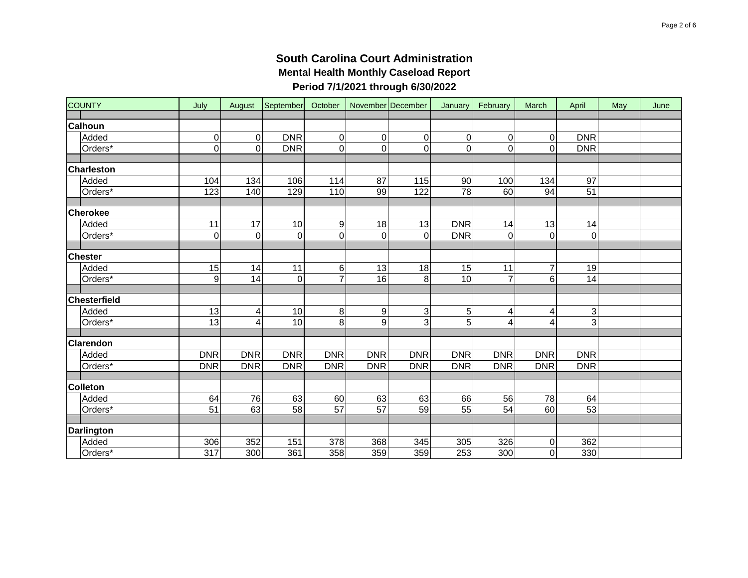| <b>COUNTY</b>     | July             | August      |                  |                  |                 | September October November December | January     | February        | March                   | April                     | May | June |
|-------------------|------------------|-------------|------------------|------------------|-----------------|-------------------------------------|-------------|-----------------|-------------------------|---------------------------|-----|------|
|                   |                  |             |                  |                  |                 |                                     |             |                 |                         |                           |     |      |
| <b>Calhoun</b>    |                  |             |                  |                  |                 |                                     |             |                 |                         |                           |     |      |
| Added             | 0                | 0           | <b>DNR</b>       | $\pmb{0}$        | 0               | 0                                   | 0           | 0               | 0                       | <b>DNR</b>                |     |      |
| Orders*           | $\overline{0}$   | $\mathbf 0$ | <b>DNR</b>       | 0                | $\pmb{0}$       | $\Omega$                            | $\mathbf 0$ | $\mathsf 0$     | $\mathbf 0$             | <b>DNR</b>                |     |      |
|                   |                  |             |                  |                  |                 |                                     |             |                 |                         |                           |     |      |
| <b>Charleston</b> |                  |             |                  |                  |                 |                                     |             |                 |                         |                           |     |      |
| Added             | 104              | 134         | 106              | 114              | 87              | 115                                 | 90          | 100             | 134                     | 97                        |     |      |
| Orders*           | 123              | 140         | 129              | 110              | 99              | 122                                 | 78          | 60              | 94                      | 51                        |     |      |
|                   |                  |             |                  |                  |                 |                                     |             |                 |                         |                           |     |      |
| <b>Cherokee</b>   |                  |             |                  |                  |                 |                                     |             |                 |                         |                           |     |      |
| Added             | 11               | 17          | 10               | $\boldsymbol{9}$ | 18              | 13                                  | <b>DNR</b>  | 14              | 13                      | 14                        |     |      |
| Orders*           | 0                | $\mathbf 0$ | $\boldsymbol{0}$ | 0                | $\mathbf 0$     | $\Omega$                            | <b>DNR</b>  | 0               | 0                       | 0                         |     |      |
|                   |                  |             |                  |                  |                 |                                     |             |                 |                         |                           |     |      |
| <b>Chester</b>    |                  |             |                  |                  |                 |                                     |             |                 |                         |                           |     |      |
| Added             | 15               | 14          | 11               | 6                | 13              | 18                                  | 15          | 11              | $\overline{7}$          | 19                        |     |      |
| Orders*           | $\boldsymbol{9}$ | 14          | $\mathbf 0$      | $\overline{7}$   | 16              | 8                                   | 10          | $\overline{7}$  | 6                       | 14                        |     |      |
|                   |                  |             |                  |                  |                 |                                     |             |                 |                         |                           |     |      |
| Chesterfield      |                  |             |                  |                  |                 |                                     |             |                 |                         |                           |     |      |
| Added             | 13               | 4           | 10               | 8                | 9               | 3                                   | 5           | 4               | 4                       | $\ensuremath{\mathsf{3}}$ |     |      |
| Orders*           | 13               | 4           | 10               | 8                | 9               | 3                                   | 5           | 4               | $\overline{\mathbf{4}}$ | 3                         |     |      |
|                   |                  |             |                  |                  |                 |                                     |             |                 |                         |                           |     |      |
| Clarendon         |                  |             |                  |                  |                 |                                     |             |                 |                         |                           |     |      |
| Added             | <b>DNR</b>       | <b>DNR</b>  | <b>DNR</b>       | <b>DNR</b>       | <b>DNR</b>      | <b>DNR</b>                          | <b>DNR</b>  | <b>DNR</b>      | <b>DNR</b>              | <b>DNR</b>                |     |      |
| Orders*           | <b>DNR</b>       | <b>DNR</b>  | <b>DNR</b>       | <b>DNR</b>       | <b>DNR</b>      | <b>DNR</b>                          | <b>DNR</b>  | <b>DNR</b>      | <b>DNR</b>              | <b>DNR</b>                |     |      |
|                   |                  |             |                  |                  |                 |                                     |             |                 |                         |                           |     |      |
| <b>Colleton</b>   |                  |             |                  |                  |                 |                                     |             |                 |                         |                           |     |      |
| Added             | 64               | 76          | 63               | 60               | 63              | 63                                  | 66          | 56              | 78                      | 64                        |     |      |
| Orders*           | $\overline{51}$  | 63          | 58               | 57               | $\overline{57}$ | 59                                  | 55          | $\overline{54}$ | 60                      | 53                        |     |      |
|                   |                  |             |                  |                  |                 |                                     |             |                 |                         |                           |     |      |
| <b>Darlington</b> |                  |             |                  |                  |                 |                                     |             |                 |                         |                           |     |      |
| Added             | 306              | 352         | 151              | 378              | 368             | 345                                 | 305         | 326             | 0                       | 362                       |     |      |
| Orders*           | $\overline{317}$ | 300         | 361              | 358              | 359             | 359                                 | 253         | 300             | $\mathsf{O}\xspace$     | 330                       |     |      |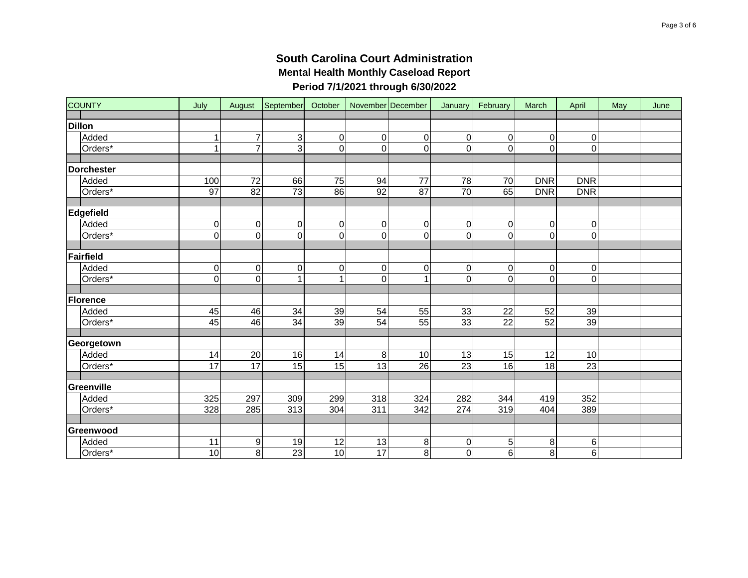| <b>COUNTY</b>     | July            |                  |                 |                  |                 | August September October November December | January         | February       | March               | April            | May | June |
|-------------------|-----------------|------------------|-----------------|------------------|-----------------|--------------------------------------------|-----------------|----------------|---------------------|------------------|-----|------|
|                   |                 |                  |                 |                  |                 |                                            |                 |                |                     |                  |     |      |
| <b>Dillon</b>     |                 |                  |                 |                  |                 |                                            |                 |                |                     |                  |     |      |
| Added             | 1               | 7                | $\overline{3}$  | $\pmb{0}$        | 0               | 0                                          | 0               | $\mathbf 0$    | $\mathsf{O}\xspace$ | $\mathbf 0$      |     |      |
| Orders*           | 1               | 7                | $\overline{3}$  | $\overline{0}$   | $\mathbf 0$     | $\Omega$                                   | $\Omega$        | 0              | $\overline{0}$      | $\mathbf 0$      |     |      |
|                   |                 |                  |                 |                  |                 |                                            |                 |                |                     |                  |     |      |
| <b>Dorchester</b> |                 |                  |                 |                  |                 |                                            |                 |                |                     |                  |     |      |
| Added             | 100             | $\overline{72}$  | 66              | 75               | 94              | 77                                         | 78              | 70             | <b>DNR</b>          | <b>DNR</b>       |     |      |
| Orders*           | $\overline{97}$ | 82               | $\overline{73}$ | 86               | 92              | 87                                         | $\overline{70}$ | 65             | <b>DNR</b>          | <b>DNR</b>       |     |      |
|                   |                 |                  |                 |                  |                 |                                            |                 |                |                     |                  |     |      |
| Edgefield         |                 |                  |                 |                  |                 |                                            |                 |                |                     |                  |     |      |
| Added             | $\pmb{0}$       | $\pmb{0}$        | $\pmb{0}$       | $\pmb{0}$        | 0               | $\overline{0}$                             | 0               | 0              | $\pmb{0}$           | 0                |     |      |
| Orders*           | $\overline{0}$  | $\overline{0}$   | $\overline{0}$  | $\overline{0}$   | $\mathbf 0$     | 0                                          | $\overline{0}$  | $\overline{0}$ | $\overline{0}$      | $\overline{0}$   |     |      |
|                   |                 |                  |                 |                  |                 |                                            |                 |                |                     |                  |     |      |
| Fairfield         |                 |                  |                 |                  |                 |                                            |                 |                |                     |                  |     |      |
| Added             | 0               | $\boldsymbol{0}$ | 0               | $\boldsymbol{0}$ | $\mathbf 0$     | $\Omega$                                   | $\mathbf 0$     | 0              | 0                   | $\boldsymbol{0}$ |     |      |
| Orders*           | $\mathbf 0$     | $\mathbf 0$      | $\mathbf{1}$    | 1                | $\mathbf 0$     |                                            | $\overline{0}$  | 0              | $\mathbf 0$         | $\mathbf 0$      |     |      |
|                   |                 |                  |                 |                  |                 |                                            |                 |                |                     |                  |     |      |
| Florence          |                 |                  |                 |                  |                 |                                            |                 |                |                     |                  |     |      |
| Added             | 45              | 46               | 34              | 39               | 54              | 55                                         | 33              | 22             | 52                  | 39               |     |      |
| Orders*           | 45              | 46               | 34              | 39               | 54              | 55                                         | 33              | 22             | 52                  | 39               |     |      |
|                   |                 |                  |                 |                  |                 |                                            |                 |                |                     |                  |     |      |
| Georgetown        |                 |                  |                 |                  |                 |                                            |                 |                |                     |                  |     |      |
| Added             | 14              | 20               | 16              | 14               | 8               | 10                                         | 13              | 15             | $\overline{12}$     | 10               |     |      |
| Orders*           | $\overline{17}$ | 17               | $\overline{15}$ | $\overline{15}$  | 13              | $\overline{26}$                            | $\overline{23}$ | 16             | 18                  | $\overline{23}$  |     |      |
|                   |                 |                  |                 |                  |                 |                                            |                 |                |                     |                  |     |      |
| Greenville        |                 |                  |                 |                  |                 |                                            |                 |                |                     |                  |     |      |
| Added             | 325             | 297              | 309             | 299              | 318             | 324                                        | 282             | 344            | 419                 | 352              |     |      |
| Orders*           | 328             | 285              | 313             | 304              | 311             | 342                                        | 274             | 319            | 404                 | 389              |     |      |
|                   |                 |                  |                 |                  |                 |                                            |                 |                |                     |                  |     |      |
| Greenwood         |                 |                  |                 |                  |                 |                                            |                 |                |                     |                  |     |      |
| Added             | 11              | $\boldsymbol{9}$ | 19              | 12               | 13              | 8                                          | $\mathbf 0$     | 5              | 8                   | 6                |     |      |
| Orders*           | 10              | $\overline{8}$   | 23              | $\overline{10}$  | $\overline{17}$ | 8 <sup>1</sup>                             | $\overline{0}$  | $\overline{6}$ | 8                   | 6                |     |      |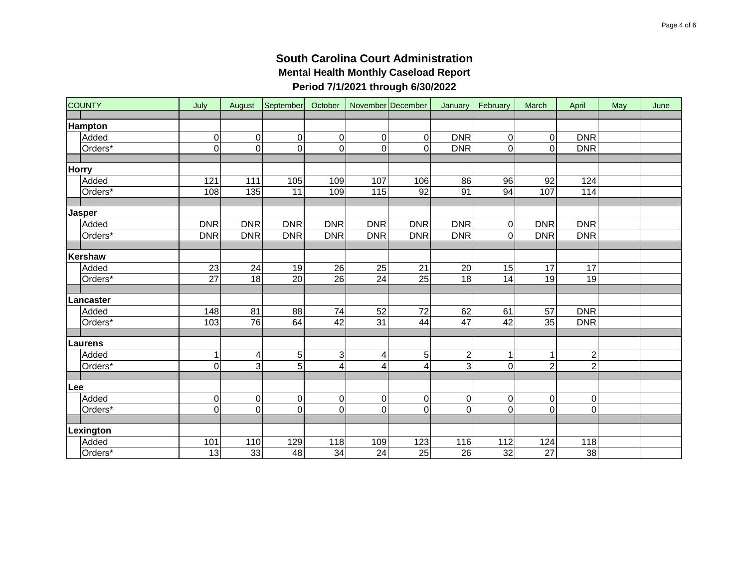|     | <b>COUNTY</b>           | July                        | August                             |                             |                             |                | September October November December | January         | February                | March                       | April                   | May | June |
|-----|-------------------------|-----------------------------|------------------------------------|-----------------------------|-----------------------------|----------------|-------------------------------------|-----------------|-------------------------|-----------------------------|-------------------------|-----|------|
|     |                         |                             |                                    |                             |                             |                |                                     |                 |                         |                             |                         |     |      |
|     | <b>Hampton</b><br>Added |                             |                                    |                             |                             |                |                                     | <b>DNR</b>      |                         |                             | <b>DNR</b>              |     |      |
|     | Orders*                 | $\pmb{0}$<br>$\overline{0}$ | $\boldsymbol{0}$<br>$\overline{0}$ | $\pmb{0}$<br>$\overline{0}$ | $\pmb{0}$<br>$\overline{0}$ | 0              | $\overline{0}$                      |                 | $\pmb{0}$               | $\pmb{0}$<br>$\overline{0}$ | <b>DNR</b>              |     |      |
|     |                         |                             |                                    |                             |                             | $\mathbf 0$    | $\Omega$                            | <b>DNR</b>      | 0                       |                             |                         |     |      |
|     | <b>Horry</b>            |                             |                                    |                             |                             |                |                                     |                 |                         |                             |                         |     |      |
|     | Added                   | 121                         | 111                                | 105                         | 109                         | 107            | 106                                 | 86              | 96                      | 92                          | 124                     |     |      |
|     | Orders*                 | 108                         | 135                                | 11                          | 109                         | 115            | 92                                  | 91              | 94                      | 107                         | 114                     |     |      |
|     |                         |                             |                                    |                             |                             |                |                                     |                 |                         |                             |                         |     |      |
|     | <b>Jasper</b>           |                             |                                    |                             |                             |                |                                     |                 |                         |                             |                         |     |      |
|     | Added                   | <b>DNR</b>                  | <b>DNR</b>                         | <b>DNR</b>                  | <b>DNR</b>                  | <b>DNR</b>     | <b>DNR</b>                          | <b>DNR</b>      | $\pmb{0}$               | <b>DNR</b>                  | <b>DNR</b>              |     |      |
|     | Orders*                 | <b>DNR</b>                  | <b>DNR</b>                         | <b>DNR</b>                  | <b>DNR</b>                  | <b>DNR</b>     | <b>DNR</b>                          | <b>DNR</b>      | $\overline{\mathsf{o}}$ | <b>DNR</b>                  | <b>DNR</b>              |     |      |
|     |                         |                             |                                    |                             |                             |                |                                     |                 |                         |                             |                         |     |      |
|     | Kershaw                 |                             |                                    |                             |                             |                |                                     |                 |                         |                             |                         |     |      |
|     | Added                   | 23                          | 24                                 | 19                          | 26                          | 25             | 21                                  | 20              | 15                      | 17                          | 17                      |     |      |
|     | Orders*                 | $\overline{27}$             | $\overline{18}$                    | $\overline{20}$             | $\overline{26}$             | 24             | $\overline{25}$                     | 18              | 14                      | 19                          | 19                      |     |      |
|     |                         |                             |                                    |                             |                             |                |                                     |                 |                         |                             |                         |     |      |
|     | Lancaster               |                             |                                    |                             |                             |                |                                     |                 |                         |                             |                         |     |      |
|     | Added                   | 148                         | 81                                 | 88                          | 74                          | 52             | 72                                  | 62              | 61                      | 57                          | <b>DNR</b>              |     |      |
|     | Orders*                 | 103                         | $\overline{76}$                    | 64                          | $\overline{42}$             | 31             | 44                                  | $\overline{47}$ | 42                      | $\overline{35}$             | <b>DNR</b>              |     |      |
|     |                         |                             |                                    |                             |                             |                |                                     |                 |                         |                             |                         |     |      |
|     | Laurens                 |                             |                                    |                             |                             |                |                                     |                 |                         |                             |                         |     |      |
|     | Added                   | $\mathbf{1}$                | 4                                  | $\,$ 5 $\,$                 | 3                           | $\overline{4}$ | 5                                   | $\overline{c}$  | 1                       | 1                           | $\overline{\mathbf{c}}$ |     |      |
|     | Orders*                 | 0                           | 3                                  | $\overline{5}$              | 4                           | 4              | $\overline{4}$                      | 3               | $\mathsf 0$             | $\overline{2}$              | $\overline{2}$          |     |      |
|     |                         |                             |                                    |                             |                             |                |                                     |                 |                         |                             |                         |     |      |
| Lee |                         |                             |                                    |                             |                             |                |                                     |                 |                         |                             |                         |     |      |
|     | Added                   | $\pmb{0}$                   | $\boldsymbol{0}$                   | $\pmb{0}$                   | $\pmb{0}$                   | 0              | $\mathbf 0$                         | $\mathbf 0$     | $\pmb{0}$               | $\mathsf{O}\xspace$         | $\pmb{0}$               |     |      |
|     | Orders*                 | 0                           | $\overline{0}$                     | 0                           | 0                           | $\mathbf 0$    | $\Omega$                            | $\overline{0}$  | $\overline{0}$          | 0                           | $\mathsf 0$             |     |      |
|     |                         |                             |                                    |                             |                             |                |                                     |                 |                         |                             |                         |     |      |
|     | Lexington               |                             |                                    |                             |                             |                |                                     |                 |                         |                             |                         |     |      |
|     | Added                   | 101                         | 110                                | 129                         | 118                         | 109            | 123                                 | 116             | 112                     | 124                         | 118                     |     |      |
|     | Orders*                 | 13                          | 33                                 | $\frac{1}{8}$               | $\overline{34}$             | 24             | $\overline{25}$                     | $\overline{26}$ | $\overline{32}$         | $\overline{27}$             | 38                      |     |      |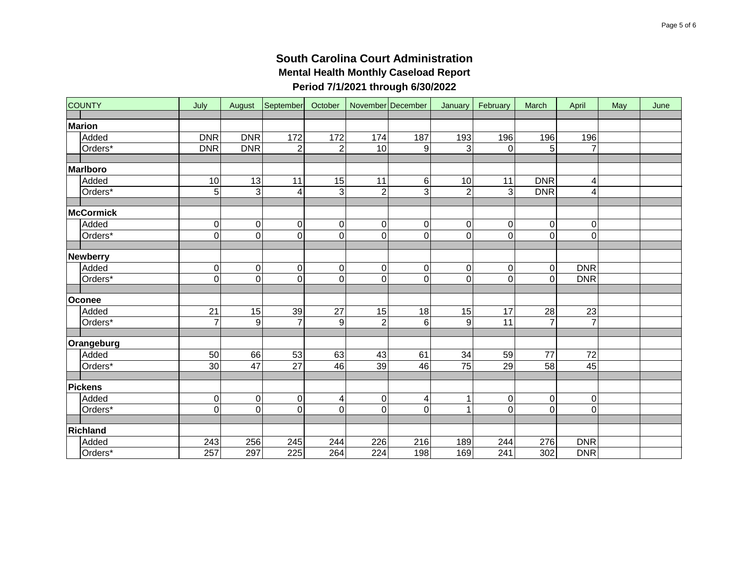| <b>COUNTY</b>    | July             |                  |                         |                  |                  | August September October November December | January          | February         | March               | April          | May | June |
|------------------|------------------|------------------|-------------------------|------------------|------------------|--------------------------------------------|------------------|------------------|---------------------|----------------|-----|------|
| <b>Marion</b>    |                  |                  |                         |                  |                  |                                            |                  |                  |                     |                |     |      |
| Added            | <b>DNR</b>       | <b>DNR</b>       | 172                     | 172              | 174              | 187                                        | 193              | 196              | 196                 | 196            |     |      |
| Orders*          | <b>DNR</b>       | <b>DNR</b>       | $\overline{2}$          | $\overline{2}$   | 10               | 9                                          | 3                | $\mathbf{0}$     | $\overline{5}$      | $\overline{7}$ |     |      |
|                  |                  |                  |                         |                  |                  |                                            |                  |                  |                     |                |     |      |
| <b>Marlboro</b>  |                  |                  |                         |                  |                  |                                            |                  |                  |                     |                |     |      |
| Added            | 10               | 13               | 11                      | 15               | 11               | 6                                          | 10               | 11               | <b>DNR</b>          | 4              |     |      |
| Orders*          | $\overline{5}$   | $\overline{3}$   | $\overline{\mathbf{4}}$ | $\overline{3}$   | $\overline{2}$   | 3                                          | $\overline{2}$   | $\overline{3}$   | <b>DNR</b>          | 4              |     |      |
|                  |                  |                  |                         |                  |                  |                                            |                  |                  |                     |                |     |      |
| <b>McCormick</b> |                  |                  |                         |                  |                  |                                            |                  |                  |                     |                |     |      |
| Added            | $\pmb{0}$        | $\boldsymbol{0}$ | $\pmb{0}$               | $\pmb{0}$        | 0                | $\overline{0}$                             | $\boldsymbol{0}$ | 0                | $\pmb{0}$           | 0              |     |      |
| Orders*          | 0                | $\mathbf 0$      | 0                       | 0                | $\mathbf 0$      | $\overline{0}$                             | $\overline{0}$   | $\mathsf 0$      | 0                   | $\mathsf 0$    |     |      |
|                  |                  |                  |                         |                  |                  |                                            |                  |                  |                     |                |     |      |
| <b>Newberry</b>  |                  |                  |                         |                  |                  |                                            |                  |                  |                     |                |     |      |
| Added            | 0                | $\pmb{0}$        | $\pmb{0}$               | $\boldsymbol{0}$ | $\mathbf 0$      | $\overline{0}$                             | $\pmb{0}$        | $\mathsf 0$      | 0                   | <b>DNR</b>     |     |      |
| Orders*          | 0                | $\mathbf 0$      | 0                       | 0                | 0                | $\overline{0}$                             | $\mathbf 0$      | $\mathbf 0$      | $\mathbf 0$         | <b>DNR</b>     |     |      |
| Oconee           |                  |                  |                         |                  |                  |                                            |                  |                  |                     |                |     |      |
| Added            | 21               | 15               | 39                      | 27               | 15               | 18                                         | 15               | 17               | 28                  | 23             |     |      |
| Orders*          | $\overline{7}$   | 9                | $\overline{7}$          | 9                | $\overline{2}$   | 6                                          | $\boldsymbol{9}$ | 11               | $\overline{7}$      | $\overline{7}$ |     |      |
|                  |                  |                  |                         |                  |                  |                                            |                  |                  |                     |                |     |      |
| Orangeburg       |                  |                  |                         |                  |                  |                                            |                  |                  |                     |                |     |      |
| Added            | 50               | 66               | 53                      | 63               | 43               | 61                                         | 34               | 59               | 77                  | 72             |     |      |
| Orders*          | 30               | $\overline{47}$  | $\overline{27}$         | 46               | 39               | 46                                         | $\overline{75}$  | 29               | 58                  | 45             |     |      |
|                  |                  |                  |                         |                  |                  |                                            |                  |                  |                     |                |     |      |
| <b>Pickens</b>   |                  |                  |                         |                  |                  |                                            |                  |                  |                     |                |     |      |
| Added            | $\overline{0}$   | $\boldsymbol{0}$ | $\pmb{0}$               | 4                | 0                | 4                                          | 1                | $\mathsf 0$      | $\mathsf{O}\xspace$ | 0              |     |      |
| Orders*          | 0                | $\mathbf 0$      | 0                       | 0                | 0                | $\Omega$                                   | 1                | $\mathsf 0$      | 0                   | 0              |     |      |
|                  |                  |                  |                         |                  |                  |                                            |                  |                  |                     |                |     |      |
| <b>Richland</b>  |                  |                  |                         |                  |                  |                                            |                  |                  |                     |                |     |      |
| Added            | 243              | 256              | 245                     | 244              | 226              | 216                                        | 189              | 244              | 276                 | <b>DNR</b>     |     |      |
| Orders*          | $\overline{257}$ | 297              | 225                     | 264              | $\overline{224}$ | 198                                        | 169              | $\overline{241}$ | 302                 | <b>DNR</b>     |     |      |